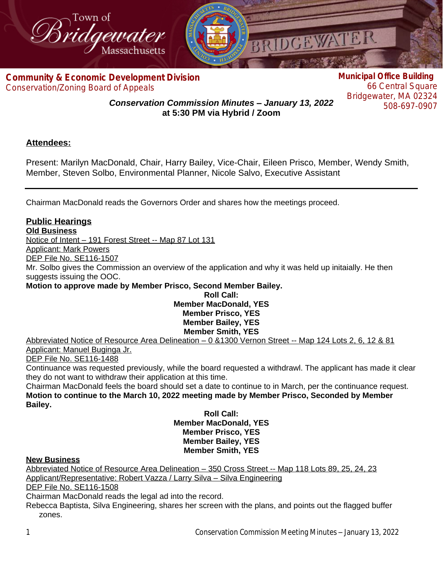

**Com[munity & Economic Development Division](http://www.bridgewaterma.org/)** Conservation/Zoning Board of Appeals

**Municipal Office Building** 66 Central Square Bridgewater, MA 02324 508-697-0907

*Conservation Commission Minutes – January 13, 2022* **at 5:30 PM via Hybrid / Zoom**

## **Attendees:**

Present: Marilyn MacDonald, Chair, Harry Bailey, Vice-Chair, Eileen Prisco, Member, Wendy Smith, Member, Steven Solbo, Environmental Planner, Nicole Salvo, Executive Assistant

Chairman MacDonald reads the Governors Order and shares how the meetings proceed.

## **Public Hearings**

**Old Business**

Notice of Intent – 191 Forest Street -- Map 87 Lot 131

Applicant: Mark Powers

DEP File No. SE116-1507

Mr. Solbo gives the Commission an overview of the application and why it was held up initaially. He then suggests issuing the OOC.

**Motion to approve made by Member Prisco, Second Member Bailey.**

### **Roll Call: Member MacDonald, YES Member Prisco, YES Member Bailey, YES Member Smith, YES**

Abbreviated Notice of Resource Area Delineation – 0 &1300 Vernon Street -- Map 124 Lots 2, 6, 12 & 81 Applicant: Manuel Buginga Jr.

DEP File No. SE116-1488

Continuance was requested previously, while the board requested a withdrawl. The applicant has made it clear they do not want to withdraw their application at this time.

Chairman MacDonald feels the board should set a date to continue to in March, per the continuance request. **Motion to continue to the March 10, 2022 meeting made by Member Prisco, Seconded by Member Bailey.** 

**Roll Call: Member MacDonald, YES Member Prisco, YES Member Bailey, YES Member Smith, YES**

#### **New Business**

Abbreviated Notice of Resource Area Delineation – 350 Cross Street -- Map 118 Lots 89, 25, 24, 23 Applicant/Representative: Robert Vazza / Larry Silva – Silva Engineering

DEP File No. SE116-1508

Chairman MacDonald reads the legal ad into the record.

Rebecca Baptista, Silva Engineering, shares her screen with the plans, and points out the flagged buffer zones.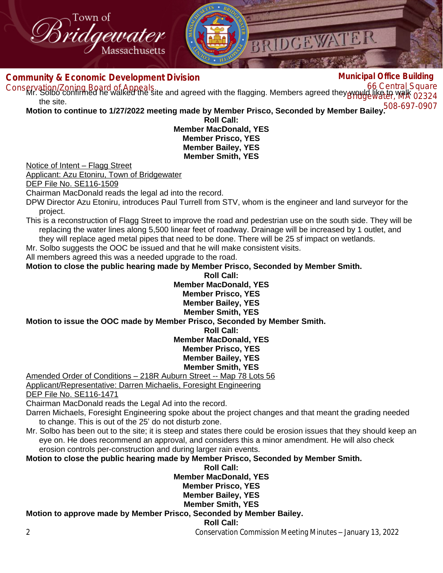

#### **Com[munity & Economic Development Division](http://www.bridgewaterma.org/)** Conservation/Zoning Board of Appeals:<br>Conservation/Zoning Board of Appeals: condensed with the flogging Members agreed they would like to walk **Municipal Office Building** Mr. Solbo confirmed he walked the site and agreed with the flagging. Members agreed they would like to walk 02324 508-697-0907 **Motion to continue to 1/27/2022 meeting made by Member Prisco, Seconded by Member Bailey.** the site. **Roll Call: Member MacDonald, YES Member Prisco, YES Member Bailey, YES**

## **Member Smith, YES**

Notice of Intent – Flagg Street

Applicant: Azu Etoniru, Town of Bridgewater

DEP File No. SE116-1509

Chairman MacDonald reads the legal ad into the record.

DPW Director Azu Etoniru, introduces Paul Turrell from STV, whom is the engineer and land surveyor for the project.

This is a reconstruction of Flagg Street to improve the road and pedestrian use on the south side. They will be replacing the water lines along 5,500 linear feet of roadway. Drainage will be increased by 1 outlet, and they will replace aged metal pipes that need to be done. There will be 25 sf impact on wetlands.

Mr. Solbo suggests the OOC be issued and that he will make consistent visits.

All members agreed this was a needed upgrade to the road.

**Motion to close the public hearing made by Member Prisco, Seconded by Member Smith.**

**Roll Call: Member MacDonald, YES Member Prisco, YES Member Bailey, YES Member Smith, YES Motion to issue the OOC made by Member Prisco, Seconded by Member Smith. Roll Call:**

**Member MacDonald, YES**

**Member Prisco, YES**

**Member Bailey, YES**

**Member Smith, YES**

Amended Order of Conditions – 218R Auburn Street -- Map 78 Lots 56 Applicant/Representative: Darren Michaelis, Foresight Engineering

DEP File No. SE116-1471

Chairman MacDonald reads the Legal Ad into the record.

Darren Michaels, Foresight Engineering spoke about the project changes and that meant the grading needed to change. This is out of the 25' do not disturb zone.

Mr. Solbo has been out to the site; it is steep and states there could be erosion issues that they should keep an eye on. He does recommend an approval, and considers this a minor amendment. He will also check erosion controls per-construction and during larger rain events.

**Motion to close the public hearing made by Member Prisco, Seconded by Member Smith.**

**Roll Call: Member MacDonald, YES Member Prisco, YES Member Bailey, YES Member Smith, YES Motion to approve made by Member Prisco, Seconded by Member Bailey. Roll Call:**

2 Conservation Commission Meeting Minutes – January 13, 2022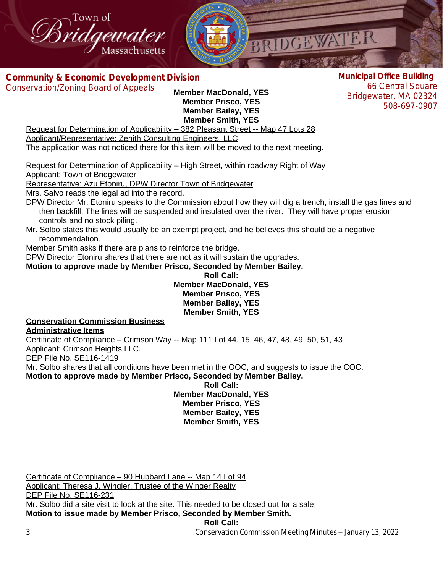

**Com[munity & Economic Development Division](http://www.bridgewaterma.org/)**

Conservation/Zoning Board of Appeals

**Member MacDonald, YES Member Prisco, YES Member Bailey, YES Member Smith, YES**

**Municipal Office Building** 66 Central Square Bridgewater, MA 02324 508-697-0907

Request for Determination of Applicability – 382 Pleasant Street -- Map 47 Lots 28 Applicant/Representative: Zenith Consulting Engineers, LLC

The application was not noticed there for this item will be moved to the next meeting.

Request for Determination of Applicability – High Street, within roadway Right of Way

Applicant: Town of Bridgewater

Representative: Azu Etoniru, DPW Director Town of Bridgewater

Mrs. Salvo reads the legal ad into the record.

- DPW Director Mr. Etoniru speaks to the Commission about how they will dig a trench, install the gas lines and then backfill. The lines will be suspended and insulated over the river. They will have proper erosion controls and no stock piling.
- Mr. Solbo states this would usually be an exempt project, and he believes this should be a negative recommendation.

Member Smith asks if there are plans to reinforce the bridge.

DPW Director Etoniru shares that there are not as it will sustain the upgrades.

**Motion to approve made by Member Prisco, Seconded by Member Bailey.**

#### **Roll Call: Member MacDonald, YES Member Prisco, YES Member Bailey, YES Member Smith, YES**

# **Conservation Commission Business**

**Administrative Items**

Certificate of Compliance – Crimson Way -- Map 111 Lot 44, 15, 46, 47, 48, 49, 50, 51, 43 Applicant: Crimson Heights LLC.

DEP File No. SE116-1419

Mr. Solbo shares that all conditions have been met in the OOC, and suggests to issue the COC. **Motion to approve made by Member Prisco, Seconded by Member Bailey.**

**Roll Call: Member MacDonald, YES Member Prisco, YES Member Bailey, YES Member Smith, YES**

Certificate of Compliance – 90 Hubbard Lane -- Map 14 Lot 94 Applicant: Theresa J. Wingler, Trustee of the Winger Realty DEP File No. SE116-231 Mr. Solbo did a site visit to look at the site. This needed to be closed out for a sale. **Motion to issue made by Member Prisco, Seconded by Member Smith. Roll Call:**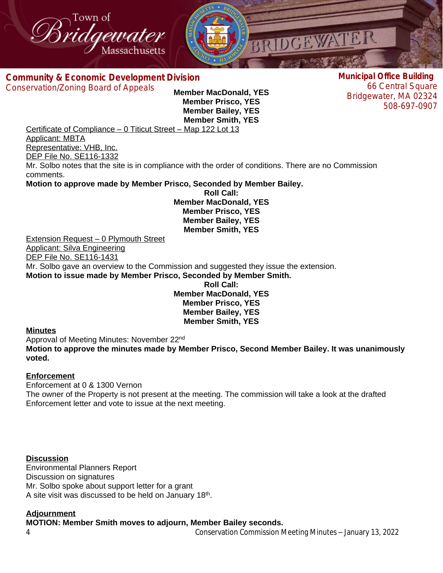



**Com[munity & Economic Development Division](http://www.bridgewaterma.org/)** Conservation/Zoning Board of Appeals

**Member MacDonald, YES Member Prisco, YES Member Bailey, YES Member Smith, YES**

**Municipal Office Building** 66 Central Square Bridgewater, MA 02324 508-697-0907

Certificate of Compliance – 0 Titicut Street – Map 122 Lot 13

Applicant: MBTA

Representative: VHB, Inc. DEP File No. SE116-1332

Mr. Solbo notes that the site is in compliance with the order of conditions. There are no Commission comments.

**Motion to approve made by Member Prisco, Seconded by Member Bailey.**

**Roll Call: Member MacDonald, YES Member Prisco, YES Member Bailey, YES Member Smith, YES**

Extension Request – 0 Plymouth Street Applicant: Silva Engineering DEP File No. SE116-1431 Mr. Solbo gave an overview to the Commission and suggested they issue the extension. **Motion to issue made by Member Prisco, Seconded by Member Smith. Roll Call:**

**Member MacDonald, YES Member Prisco, YES Member Bailey, YES Member Smith, YES**

#### **Minutes**

Approval of Meeting Minutes: November 22nd

**Motion to approve the minutes made by Member Prisco, Second Member Bailey. It was unanimously voted.** 

## **Enforcement**

Enforcement at 0 & 1300 Vernon The owner of the Property is not present at the meeting. The commission will take a look at the drafted Enforcement letter and vote to issue at the next meeting.

**Discussion** Environmental Planners Report Discussion on signatures Mr. Solbo spoke about support letter for a grant A site visit was discussed to be held on January 18<sup>th</sup>.

## **Adjournment**

**MOTION: Member Smith moves to adjourn, Member Bailey seconds.**

4 Conservation Commission Meeting Minutes – January 13, 2022